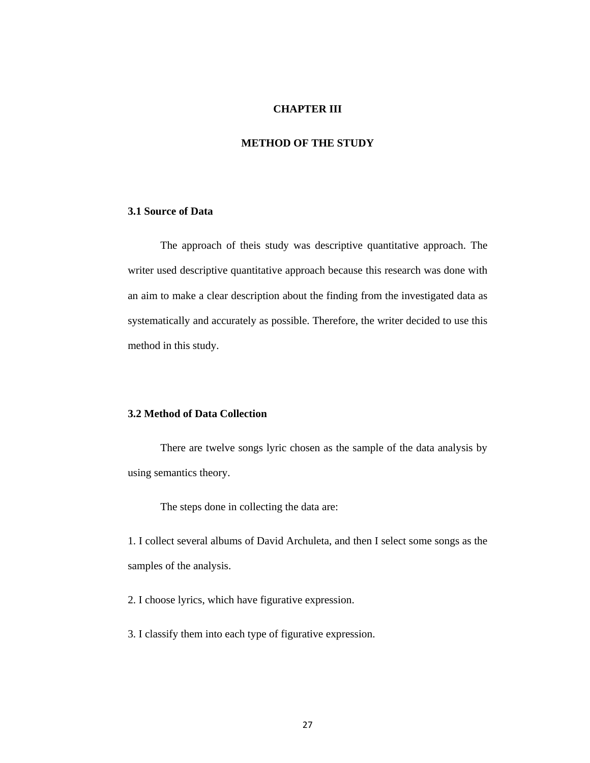#### **CHAPTER III**

# **METHOD OF THE STUDY**

## **3.1 Source of Data**

The approach of theis study was descriptive quantitative approach. The writer used descriptive quantitative approach because this research was done with an aim to make a clear description about the finding from the investigated data as systematically and accurately as possible. Therefore, the writer decided to use this method in this study.

# **3.2 Method of Data Collection**

There are twelve songs lyric chosen as the sample of the data analysis by using semantics theory.

The steps done in collecting the data are:

1. I collect several albums of David Archuleta, and then I select some songs as the samples of the analysis.

2. I choose lyrics, which have figurative expression.

3. I classify them into each type of figurative expression.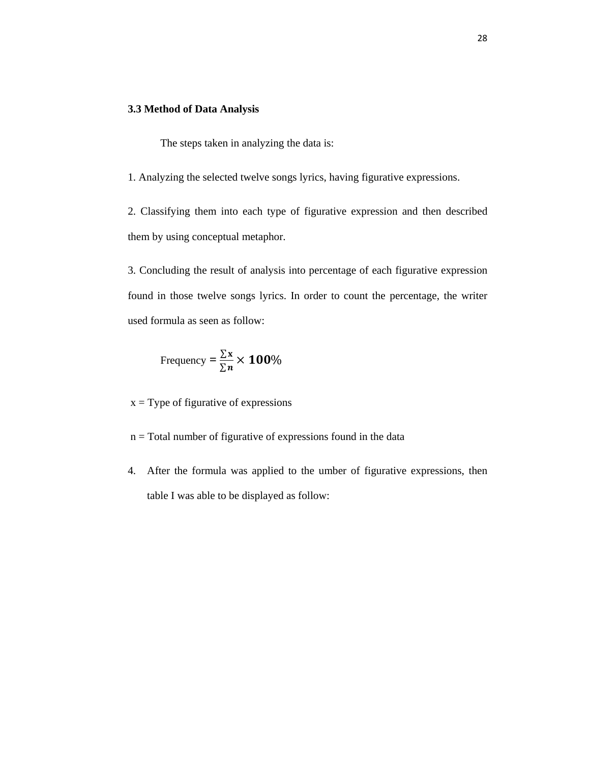### **3.3 Method of Data Analysis**

The steps taken in analyzing the data is:

1. Analyzing the selected twelve songs lyrics, having figurative expressions.

2. Classifying them into each type of figurative expression and then described them by using conceptual metaphor.

3. Concluding the result of analysis into percentage of each figurative expression found in those twelve songs lyrics. In order to count the percentage, the writer used formula as seen as follow:

Frequency = 
$$
\frac{\sum x}{\sum n}
$$
 × 100%

 $x = Type$  of figurative of expressions

- $n = Total number of figurative of expressions found in the data$
- 4. After the formula was applied to the umber of figurative expressions, then table I was able to be displayed as follow: